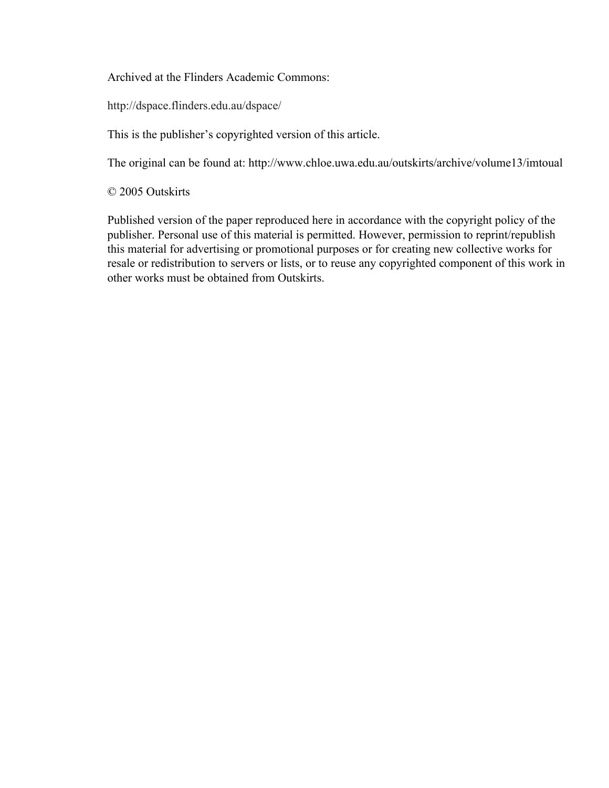Archived at the Flinders Academic Commons:

http://dspace.flinders.edu.au/dspace/

This is the publisher's copyrighted version of this article.

The original can be found at: http://www.chloe.uwa.edu.au/outskirts/archive/volume13/imtoual

© 2005 Outskirts

Published version of the paper reproduced here in accordance with the copyright policy of the publisher. Personal use of this material is permitted. However, permission to reprint/republish this material for advertising or promotional purposes or for creating new collective works for resale or redistribution to servers or lists, or to reuse any copyrighted component of this work in other works must be obtained from Outskirts.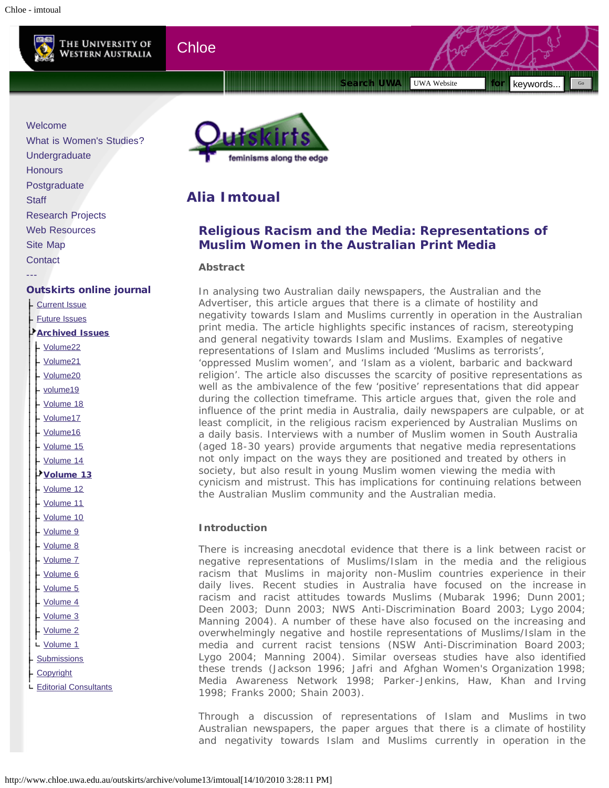

## **Chloe**

<span id="page-1-0"></span>Search UWA Nebsite for sequence for the search UWA Nebsite for the sequence of  $\mathbb{S}^n$  ,  $\mathbb{S}^n$  ,  $\mathbb{S}^n$ 

 $\overline{\text{UWA Website}}$  for keywords.

feminisms along the edge

# **Alia Imtoual**

## **Religious Racism and the Media: Representations of Muslim Women in the Australian Print Media**

### **Abstract**

In analysing two Australian daily newspapers, the *Australian* and the *Advertiser*, this article argues that there is a climate of hostility and negativity towards Islam and Muslims currently in operation in the Australian print media. The article highlights specific instances of racism, stereotyping and general negativity towards Islam and Muslims. Examples of negative representations of Islam and Muslims included 'Muslims as terrorists', 'oppressed Muslim women', and 'Islam as a violent, barbaric and backward religion'. The article also discusses the scarcity of positive representations as well as the ambivalence of the few 'positive' representations that did appear during the collection timeframe. This article argues that, given the role and influence of the print media in Australia, daily newspapers are culpable, or at least complicit, in the religious racism experienced by Australian Muslims on a daily basis. Interviews with a number of Muslim women in South Australia (aged 18-30 years) provide arguments that negative media representations not only impact on the ways they are positioned and treated by others in society, but also result in young Muslim women viewing the media with cynicism and mistrust. This has implications for continuing relations between the Australian Muslim community and the Australian media.

## **Introduction**

There is increasing anecdotal evidence that there is a link between racist or negative representations of Muslims/Islam in the media and the religious racism that Muslims in majority non-Muslim countries experience in their daily lives. Recent studies in Australia have focused on the increase in racism and racist attitudes towards Muslims (Mubarak 1996; Dunn 2001; Deen 2003; Dunn 2003; NWS Anti-Discrimination Board 2003; Lygo 2004; Manning 2004). A number of these have also focused on the increasing and overwhelmingly negative and hostile representations of Muslims/Islam in the media and current racist tensions (NSW Anti-Discrimination Board 2003; Lygo 2004; Manning 2004). Similar overseas studies have also identified these trends (Jackson 1996; Jafri and Afghan Women's Organization 1998; Media Awareness Network 1998; Parker-Jenkins, Haw, Khan and Irving 1998; Franks 2000; Shain 2003).

Through a discussion of representations of Islam and Muslims in two Australian newspapers, the paper argues that there is a climate of hostility and negativity towards Islam and Muslims currently in operation in the

[Welcome](http://www.chloe.uwa.edu.au/Welcome) [What is Women's Studies?](http://www.chloe.uwa.edu.au/what_is_womens_studies) [Undergraduate](http://www.chloe.uwa.edu.au/undergraduate) **[Honours](http://www.chloe.uwa.edu.au/honours)** [Postgraduate](http://www.chloe.uwa.edu.au/postgraduate) **[Staff](http://www.chloe.uwa.edu.au/staff)** [Research Projects](http://www.chloe.uwa.edu.au/research) [Web Resources](http://www.chloe.uwa.edu.au/resources) [Site Map](http://www.chloe.uwa.edu.au/site_map) **[Contact](http://www.chloe.uwa.edu.au/contact)** [---](http://www.chloe.uwa.edu.au/?p=156137)

## [Outskirts online journal](http://www.chloe.uwa.edu.au/outskirts)

- [Current Issue](http://www.chloe.uwa.edu.au/outskirts/current_issue)
- [Future Issues](http://www.chloe.uwa.edu.au/outskirts/future_issues)

### [Archived Issues](http://www.chloe.uwa.edu.au/outskirts/archive)

- [Volume22](http://www.chloe.uwa.edu.au/outskirts/archive/volume22)
- [Volume21](http://www.chloe.uwa.edu.au/outskirts/archive/volume21)
- [Volume20](http://www.chloe.uwa.edu.au/outskirts/archive/volume20)
- [volume19](http://www.chloe.uwa.edu.au/outskirts/archive/volume19)
- [Volume 18](http://www.chloe.uwa.edu.au/outskirts/archive/volume18)
- [Volume17](http://www.chloe.uwa.edu.au/outskirts/archive/volume17)
- [Volume16](http://www.chloe.uwa.edu.au/outskirts/archive/volume16)
- [Volume 15](http://www.chloe.uwa.edu.au/outskirts/archive/volume15)
- [Volume 14](http://www.chloe.uwa.edu.au/outskirts/archive/volume14)
- [Volume 13](http://www.chloe.uwa.edu.au/outskirts/archive/volume13)
- [Volume 12](http://www.chloe.uwa.edu.au/outskirts/archive/volume12)
- [Volume 11](http://www.chloe.uwa.edu.au/outskirts/archive/volume11)
- [Volume 10](http://www.chloe.uwa.edu.au/outskirts/archive/volume10)
- [Volume 9](http://www.chloe.uwa.edu.au/outskirts/archive/volume9)
- [Volume 8](http://www.chloe.uwa.edu.au/outskirts/archive/volume8)
- [Volume 7](http://www.chloe.uwa.edu.au/outskirts/archive/volume7)
- [Volume 6](http://www.chloe.uwa.edu.au/outskirts/archive/volume6)
- [Volume 5](http://www.chloe.uwa.edu.au/outskirts/archive/volume5)
- [Volume 4](http://www.chloe.uwa.edu.au/outskirts/archive/volume4)
- [Volume 3](http://www.chloe.uwa.edu.au/outskirts/archive/volume3)
- [Volume 2](http://www.chloe.uwa.edu.au/outskirts/archive/volume2)
- L [Volume 1](http://www.chloe.uwa.edu.au/outskirts/archive/volume1)
- **[Submissions](http://www.chloe.uwa.edu.au/outskirts/submissions)**
- **[Copyright](http://www.chloe.uwa.edu.au/outskirts/copyright)**
- L [Editorial Consultants](http://www.chloe.uwa.edu.au/outskirts/editorial_consultants)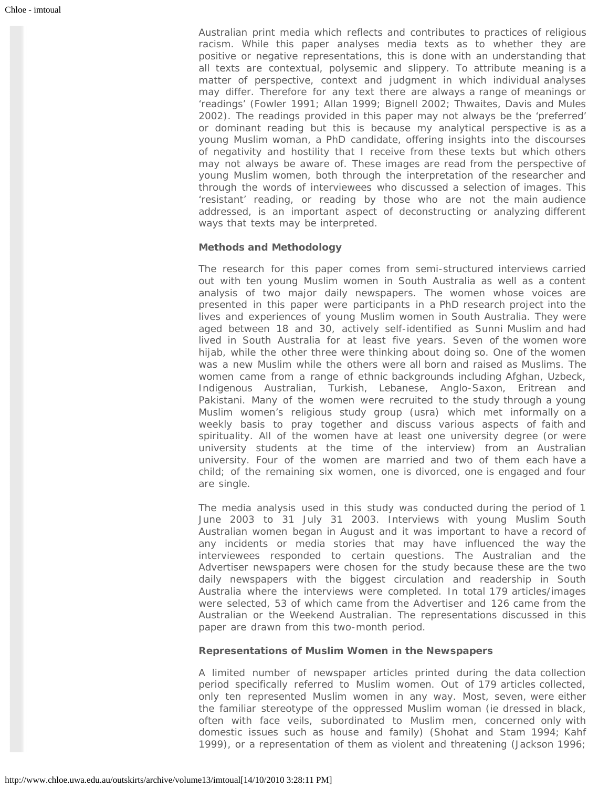Australian print media which reflects and contributes to practices of religious racism. While this paper analyses media texts as to whether they are positive or negative representations, this is done with an understanding that all texts are contextual, polysemic and slippery. To attribute meaning is a matter of perspective, context and judgment in which individual analyses may differ. Therefore for any text there are always a range of meanings or 'readings' (Fowler 1991; Allan 1999; Bignell 2002; Thwaites, Davis and Mules 2002). The readings provided in this paper may not always be the 'preferred' or dominant reading but this is because my analytical perspective is as a young Muslim woman, a PhD candidate, offering insights into the discourses of negativity and hostility that I receive from these texts but which others may not always be aware of. These images are read from the perspective of young Muslim women, both through the interpretation of the researcher and through the words of interviewees who discussed a selection of images. This 'resistant' reading, or reading by those who are not the main audience addressed, is an important aspect of deconstructing or analyzing different ways that texts may be interpreted.

#### **Methods and Methodology**

The research for this paper comes from semi-structured interviews carried out with ten young Muslim women in South Australia as well as a content analysis of two major daily newspapers. The women whose voices are presented in this paper were participants in a PhD research project into the lives and experiences of young Muslim women in South Australia. They were aged between 18 and 30, actively self-identified as Sunni Muslim and had lived in South Australia for at least five years. Seven of the women wore hijab, while the other three were thinking about doing so. One of the women was a new Muslim while the others were all born and raised as Muslims. The women came from a range of ethnic backgrounds including Afghan, Uzbeck, Indigenous Australian, Turkish, Lebanese, Anglo-Saxon, Eritrean and Pakistani. Many of the women were recruited to the study through a young Muslim women's religious study group (usra) which met informally on a weekly basis to pray together and discuss various aspects of faith and spirituality. All of the women have at least one university degree (or were university students at the time of the interview) from an Australian university. Four of the women are married and two of them each have a child; of the remaining six women, one is divorced, one is engaged and four are single.

The media analysis used in this study was conducted during the period of 1 June 2003 to 31 July 31 2003. Interviews with young Muslim South Australian women began in August and it was important to have a record of any incidents or media stories that may have influenced the way the interviewees responded to certain questions. The *Australian* and the *Advertiser* newspapers were chosen for the study because these are the two daily newspapers with the biggest circulation and readership in South Australia where the interviews were completed. In total 179 articles/images were selected, 53 of which came from the *Advertiser* and 126 came from the *Australian* or the *Weekend Australian*. The representations discussed in this paper are drawn from this two-month period.

#### **Representations of Muslim Women in the Newspapers**

A limited number of newspaper articles printed during the data collection period specifically referred to Muslim women. Out of 179 articles collected, only ten represented Muslim women in any way. Most, seven, were either the familiar stereotype of the oppressed Muslim woman (ie dressed in black, often with face veils, subordinated to Muslim men, concerned only with domestic issues such as house and family) (Shohat and Stam 1994; Kahf 1999), or a representation of them as violent and threatening (Jackson 1996;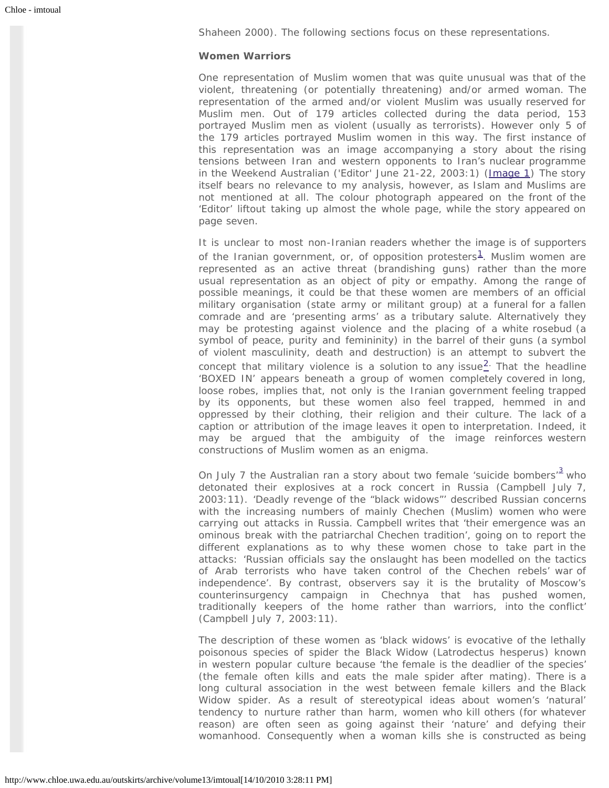Shaheen 2000). The following sections focus on these representations.

#### **Women Warriors**

One representation of Muslim women that was quite unusual was that of the violent, threatening (or potentially threatening) and/or armed woman. The representation of the armed and/or violent Muslim was usually reserved for Muslim men. Out of 179 articles collected during the data period, 153 portrayed Muslim men as violent (usually as terrorists). However only 5 of the 179 articles portrayed Muslim women in this way. The first instance of this representation was an image accompanying a story about the rising tensions between Iran and western opponents to Iran's nuclear programme in the *Weekend Australian* ('Editor' June 21-22, 2003:1) ([Image 1\)](http://www.chloe.uwa.edu.au/outskirts/archive/volume13/imtoual/image_one) The story itself bears no relevance to my analysis, however, as Islam and Muslims are not mentioned at all. The colour photograph appeared on the front of the 'Editor' liftout taking up almost the whole page, while the story appeared on page seven.

It is unclear to most non-Iranian readers whether the image is of supporters of the Iranian government, or, of opposition protesters<sup>[1](#page-9-0)</sup>. Muslim women are represented as an active threat (brandishing guns) rather than the more usual representation as an object of pity or empathy. Among the range of possible meanings, it could be that these women are members of an official military organisation (state army or militant group) at a funeral for a fallen comrade and are 'presenting arms' as a tributary salute. Alternatively they may be protesting against violence and the placing of a white rosebud (a symbol of peace, purity and femininity) in the barrel of their guns (a symbol of violent masculinity, death and destruction) is an attempt to subvert the concept that military violence is a solution to any issue $2$ . That the headline 'BOXED IN' appears beneath a group of women completely covered in long, loose robes, implies that, not only is the Iranian government feeling trapped by its opponents, but these women also feel trapped, hemmed in and oppressed by their clothing, their religion and their culture. The lack of a caption or attribution of the image leaves it open to interpretation. Indeed, it may be argued that the ambiguity of the image reinforces western constructions of Muslim women as an enigma.

On July 7 the *Australian* ran a story about two female 'suicide bombers'<sup>[3](#page-9-2)</sup> who detonated their explosives at a rock concert in Russia (Campbell July 7, 2003:11). 'Deadly revenge of the "black widows"' described Russian concerns with the increasing numbers of mainly Chechen (Muslim) women who were carrying out attacks in Russia. Campbell writes that 'their emergence was an ominous break with the patriarchal Chechen tradition', going on to report the different explanations as to why these women chose to take part in the attacks: 'Russian officials say the onslaught has been modelled on the tactics of Arab terrorists who have taken control of the Chechen rebels' war of independence'. By contrast, observers say it is the brutality of Moscow's counterinsurgency campaign in Chechnya that has pushed women, traditionally keepers of the home rather than warriors, into the conflict' (Campbell July 7, 2003:11).

The description of these women as 'black widows' is evocative of the lethally poisonous species of spider the Black Widow (*Latrodectus hesperus*) known in western popular culture because 'the female is the deadlier of the species' (the female often kills and eats the male spider after mating). There is a long cultural association in the west between female killers and the Black Widow spider. As a result of stereotypical ideas about women's 'natural' tendency to nurture rather than harm, women who kill others (for whatever reason) are often seen as going against their 'nature' and defying their womanhood. Consequently when a woman kills she is constructed as being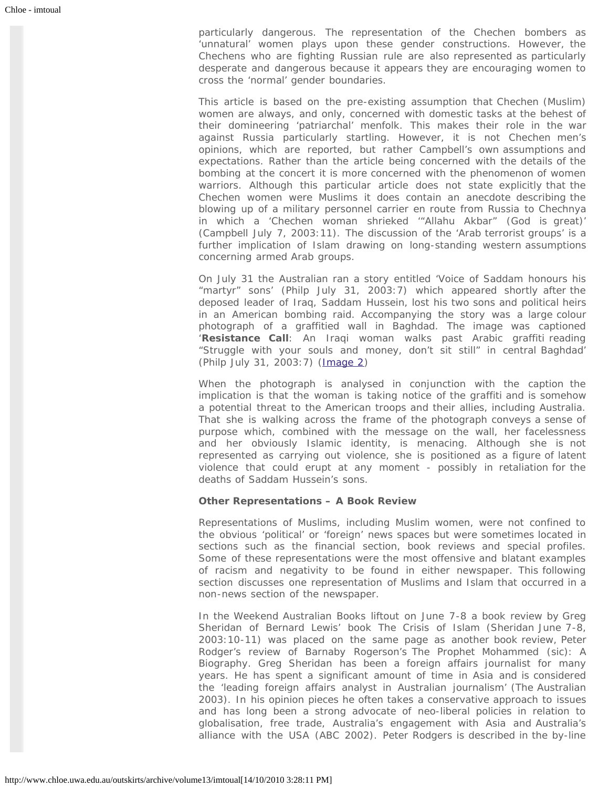particularly dangerous. The representation of the Chechen bombers as 'unnatural' women plays upon these gender constructions. However, the Chechens who are fighting Russian rule are also represented as particularly desperate and dangerous because it appears they are encouraging women to cross the 'normal' gender boundaries.

This article is based on the pre-existing assumption that Chechen (Muslim) women are always, and only, concerned with domestic tasks at the behest of their domineering 'patriarchal' menfolk. This makes their role in the war against Russia particularly startling. However, it is not Chechen men's opinions, which are reported, but rather Campbell's own assumptions and expectations. Rather than the article being concerned with the details of the bombing at the concert it is more concerned with the phenomenon of women warriors. Although this particular article does not state explicitly that the Chechen women were Muslims it does contain an anecdote describing the blowing up of a military personnel carrier en route from Russia to Chechnya in which a 'Chechen woman shrieked '"Allahu Akbar" (God is great)' (Campbell July 7, 2003:11). The discussion of the 'Arab terrorist groups' is a further implication of Islam drawing on long-standing western assumptions concerning armed Arab groups.

On July 31 the *Australian* ran a story entitled 'Voice of Saddam honours his "martyr" sons' (Philp July 31, 2003:7) which appeared shortly after the deposed leader of Iraq, Saddam Hussein, lost his two sons and political heirs in an American bombing raid. Accompanying the story was a large colour photograph of a graffitied wall in Baghdad. The image was captioned '**Resistance Call**: An Iraqi woman walks past Arabic graffiti reading "Struggle with your souls and money, don't sit still" in central Baghdad' (Philp July 31, 2003:7) [\(Image 2](http://www.chloe.uwa.edu.au/outskirts/archive/volume13/imtoual/image_two))

When the photograph is analysed in conjunction with the caption the implication is that the woman is taking notice of the graffiti and is somehow a potential threat to the American troops and their allies, including Australia. That she is walking across the frame of the photograph conveys a sense of purpose which, combined with the message on the wall, her facelessness and her obviously Islamic identity, is menacing. Although she is not represented as carrying out violence, she is positioned as a figure of latent violence that could erupt at any moment - possibly in retaliation for the deaths of Saddam Hussein's sons.

#### **Other Representations – A Book Review**

Representations of Muslims, including Muslim women, were not confined to the obvious 'political' or 'foreign' news spaces but were sometimes located in sections such as the financial section, book reviews and special profiles. Some of these representations were the most offensive and blatant examples of racism and negativity to be found in either newspaper. This following section discusses one representation of Muslims and Islam that occurred in a non-news section of the newspaper.

In the *Weekend Australian* Books liftout on June 7-8 a book review by Greg Sheridan of Bernard Lewis' book The Crisis of Islam (Sheridan June 7-8, 2003:10-11) was placed on the same page as another book review, Peter Rodger's review of Barnaby Rogerson's *The Prophet Mohammed* (sic): *A Biography*. Greg Sheridan has been a foreign affairs journalist for many years. He has spent a significant amount of time in Asia and is considered the 'leading foreign affairs analyst in Australian journalism' (The Australian 2003). In his opinion pieces he often takes a conservative approach to issues and has long been a strong advocate of neo-liberal policies in relation to globalisation, free trade, Australia's engagement with Asia and Australia's alliance with the USA (ABC 2002). Peter Rodgers is described in the by-line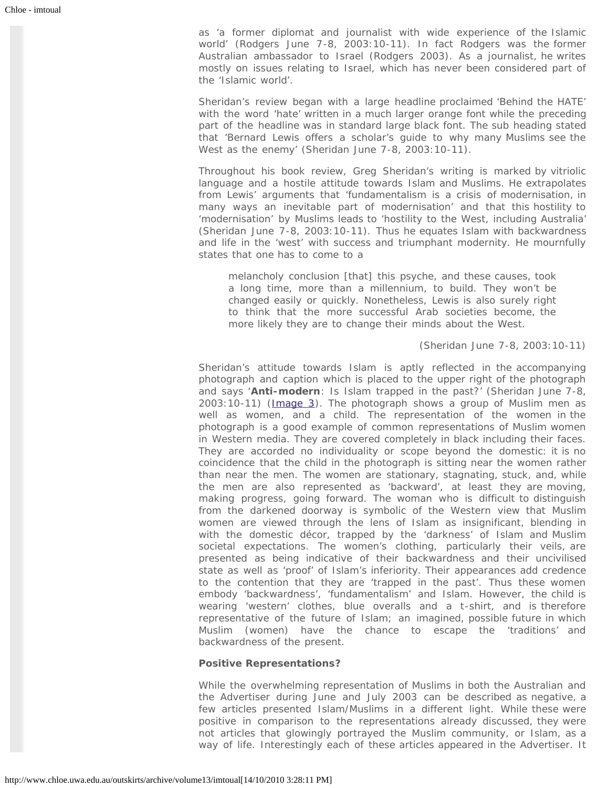as 'a former diplomat and journalist with wide experience of the Islamic world' (Rodgers June 7-8, 2003:10-11). In fact Rodgers was the former Australian ambassador to Israel (Rodgers 2003). As a journalist, he writes mostly on issues relating to Israel, which has never been considered part of the 'Islamic world'.

Sheridan's review began with a large headline proclaimed 'Behind the HATE' with the word 'hate' written in a much larger orange font while the preceding part of the headline was in standard large black font. The sub heading stated that 'Bernard Lewis offers a scholar's guide to why many Muslims see the West as the enemy' (Sheridan June 7-8, 2003:10-11).

Throughout his book review, Greg Sheridan's writing is marked by vitriolic language and a hostile attitude towards Islam and Muslims. He extrapolates from Lewis' arguments that 'fundamentalism is a crisis of modernisation, in many ways an inevitable part of modernisation' and that this hostility to 'modernisation' by Muslims leads to 'hostility to the West, including Australia' (Sheridan June 7-8, 2003:10-11). Thus he equates Islam with backwardness and life in the 'west' with success and triumphant modernity. He mournfully states that one has to come to a

melancholy conclusion [that] this psyche, and these causes, took a long time, more than a millennium, to build. They won't be changed easily or quickly. Nonetheless, Lewis is also surely right to think that the more successful Arab societies become, the more likely they are to change their minds about the West.

#### (Sheridan June 7-8, 2003:10-11)

Sheridan's attitude towards Islam is aptly reflected in the accompanying photograph and caption which is placed to the upper right of the photograph and says '**Anti-modern**: Is Islam trapped in the past?' (Sheridan June 7-8, 2003:10-11) [\(Image 3\)](http://www.chloe.uwa.edu.au/outskirts/archive/volume13/imtoual/image_three). The photograph shows a group of Muslim men as well as women, and a child. The representation of the women in the photograph is a good example of common representations of Muslim women in Western media. They are covered completely in black including their faces. They are accorded no individuality or scope beyond the domestic: it is no coincidence that the child in the photograph is sitting near the women rather than near the men. The women are stationary, stagnating, stuck, and, while the men are also represented as 'backward', at least they are moving, making progress, going forward. The woman who is difficult to distinguish from the darkened doorway is symbolic of the Western view that Muslim women are viewed through the lens of Islam as insignificant, blending in with the domestic décor, trapped by the 'darkness' of Islam and Muslim societal expectations. The women's clothing, particularly their veils, are presented as being indicative of their backwardness and their uncivilised state as well as 'proof' of Islam's inferiority. Their appearances add credence to the contention that they are 'trapped in the past'. Thus these women embody 'backwardness', 'fundamentalism' and Islam. However, the child is wearing 'western' clothes, blue overalls and a t-shirt, and is therefore representative of the future of Islam; an imagined, possible future in which Muslim (women) have the chance to escape the 'traditions' and backwardness of the present.

#### **Positive Representations?**

While the overwhelming representation of Muslims in both the *Australian* and the *Advertiser* during June and July 2003 can be described as negative, a few articles presented Islam/Muslims in a different light. While these were positive in comparison to the representations already discussed, they were not articles that glowingly portrayed the Muslim community, or Islam, as a way of life. Interestingly each of these articles appeared in the *Advertiser*. It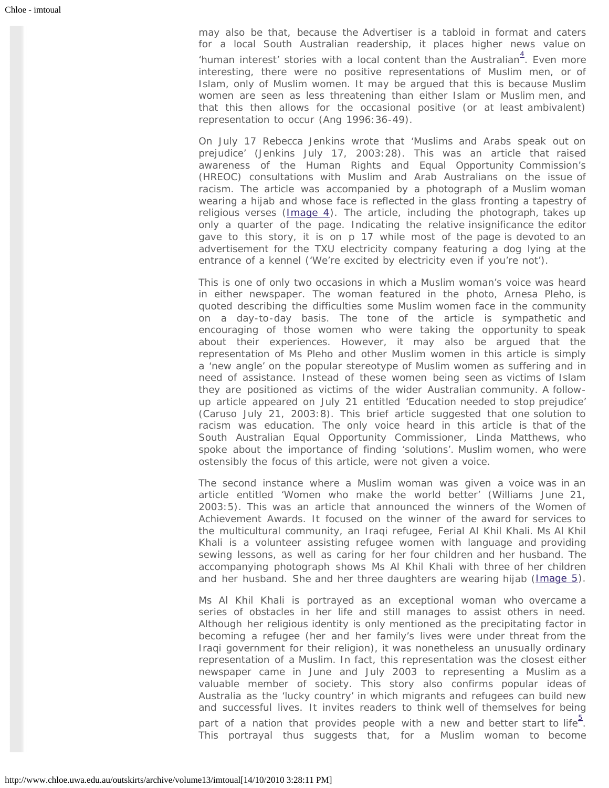may also be that, because the *Advertiser* is a tabloid in format and caters for a local South Australian readership, it places higher news value on 'human interest' stories with a local content than the *Australian*<sup>[4](#page-9-3)</sup>. Even more interesting, there were no positive representations of Muslim men, or of Islam, only of Muslim women. It may be argued that this is because Muslim women are seen as less threatening than either Islam or Muslim men, and that this then allows for the occasional positive (or at least ambivalent) representation to occur (Ang 1996:36-49).

On July 17 Rebecca Jenkins wrote that 'Muslims and Arabs speak out on prejudice' (Jenkins July 17, 2003:28). This was an article that raised awareness of the Human Rights and Equal Opportunity Commission's (HREOC) consultations with Muslim and Arab Australians on the issue of racism. The article was accompanied by a photograph of a Muslim woman wearing a hijab and whose face is reflected in the glass fronting a tapestry of religious verses  $( \text{Image } 4)$ . The article, including the photograph, takes up only a quarter of the page. Indicating the relative insignificance the editor gave to this story, it is on p 17 while most of the page is devoted to an advertisement for the TXU electricity company featuring a dog lying at the entrance of a kennel ('We're excited by electricity even if you're not').

This is one of only two occasions in which a Muslim woman's voice was heard in either newspaper. The woman featured in the photo, Arnesa Pleho, is quoted describing the difficulties some Muslim women face in the community on a day-to-day basis. The tone of the article is sympathetic and encouraging of those women who were taking the opportunity to speak about their experiences. However, it may also be argued that the representation of Ms Pleho and other Muslim women in this article is simply a 'new angle' on the popular stereotype of Muslim women as suffering and in need of assistance. Instead of these women being seen as victims of Islam they are positioned as victims of the wider Australian community. A followup article appeared on July 21 entitled 'Education needed to stop prejudice' (Caruso July 21, 2003:8). This brief article suggested that one solution to racism was education. The only voice heard in this article is that of the South Australian Equal Opportunity Commissioner, Linda Matthews, who spoke about the importance of finding 'solutions'. Muslim women, who were ostensibly the focus of this article, were not given a voice.

The second instance where a Muslim woman was given a voice was in an article entitled 'Women who make the world better' (Williams June 21, 2003:5). This was an article that announced the winners of the Women of Achievement Awards. It focused on the winner of the award for services to the multicultural community, an Iraqi refugee, Ferial Al Khil Khali. Ms Al Khil Khali is a volunteer assisting refugee women with language and providing sewing lessons, as well as caring for her four children and her husband. The accompanying photograph shows Ms Al Khil Khali with three of her children and her husband. She and her three daughters are wearing hijab ([Image 5\)](http://www.chloe.uwa.edu.au/outskirts/archive/volume13/imtoual/image_five).

Ms Al Khil Khali is portrayed as an exceptional woman who overcame a series of obstacles in her life and still manages to assist others in need. Although her religious identity is only mentioned as the precipitating factor in becoming a refugee (her and her family's lives were under threat from the Iraqi government for their religion), it was nonetheless an unusually *ordinary* representation of a Muslim. In fact, this representation was the closest either newspaper came in June and July 2003 to representing a Muslim as a valuable member of society. This story also confirms popular ideas of Australia as the 'lucky country' in which migrants and refugees can build new and successful lives. It invites readers to think well of themselves for being part of a nation that provides people with a new and better start to life<sup>[5](#page-9-4)</sup>. This portrayal thus suggests that, for a Muslim woman to become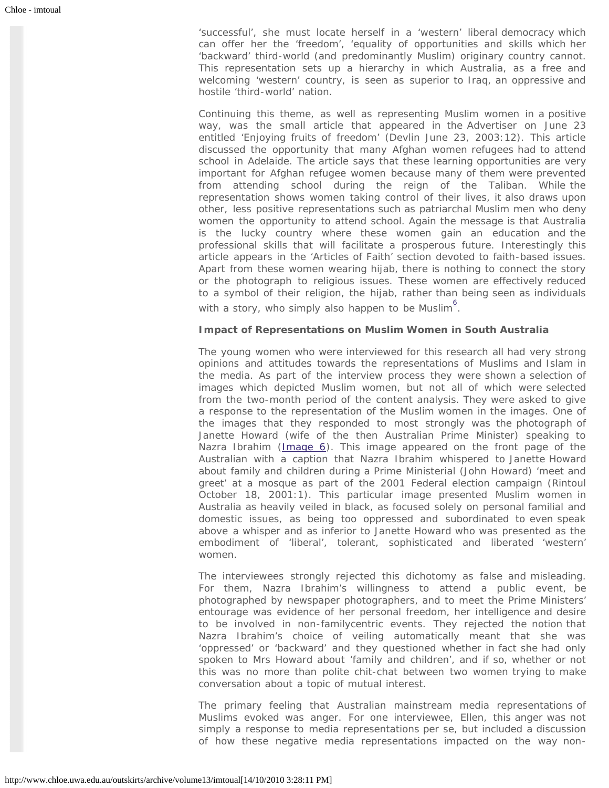'successful', she must locate herself in a 'western' liberal democracy which can offer her the 'freedom', 'equality of opportunities and skills which her 'backward' third-world (and predominantly Muslim) originary country cannot. This representation sets up a hierarchy in which Australia, as a free and welcoming 'western' country, is seen as superior to Iraq, an oppressive and hostile 'third-world' nation.

Continuing this theme, as well as representing Muslim women in a positive way, was the small article that appeared in the *Advertiser* on June 23 entitled 'Enjoying fruits of freedom' (Devlin June 23, 2003:12). This article discussed the opportunity that many Afghan women refugees had to attend school in Adelaide. The article says that these learning opportunities are very important for Afghan refugee women because many of them were prevented from attending school during the reign of the Taliban. While the representation shows women taking control of their lives, it also draws upon other, less positive representations such as patriarchal Muslim men who deny women the opportunity to attend school. Again the message is that Australia is the lucky country where these women gain an education and the professional skills that will facilitate a prosperous future. Interestingly this article appears in the 'Articles of Faith' section devoted to faith-based issues. Apart from these women wearing hijab, there is nothing to connect the story or the photograph to religious issues. These women are effectively reduced to a symbol of their religion, the hijab, rather than being seen as individuals with a story, who simply also happen to be Muslim<sup>[6](#page-10-0)</sup>.

#### **Impact of Representations on Muslim Women in South Australia**

The young women who were interviewed for this research all had very strong opinions and attitudes towards the representations of Muslims and Islam in the media. As part of the interview process they were shown a selection of images which depicted Muslim women, but not all of which were selected from the two-month period of the content analysis. They were asked to give a response to the representation of the Muslim women in the images. One of the images that they responded to most strongly was the photograph of Janette Howard (wife of the then Australian Prime Minister) speaking to Nazra Ibrahim  $(\text{Image 6})$ . This image appeared on the front page of the *Australian* with a caption that Nazra Ibrahim whispered to Janette Howard about family and children during a Prime Ministerial (John Howard) 'meet and greet' at a mosque as part of the 2001 Federal election campaign (Rintoul October 18, 2001:1). This particular image presented Muslim women in Australia as heavily veiled in black, as focused solely on personal familial and domestic issues, as being too oppressed and subordinated to even speak above a whisper and as inferior to Janette Howard who was presented as the embodiment of 'liberal', tolerant, sophisticated and liberated 'western' women.

The interviewees strongly rejected this dichotomy as false and misleading. For them, Nazra Ibrahim's willingness to attend a public event, be photographed by newspaper photographers, and to meet the Prime Ministers' entourage was evidence of her personal freedom, her intelligence and desire to be involved in non-familycentric events. They rejected the notion that Nazra Ibrahim's choice of veiling automatically meant that she was 'oppressed' or 'backward' and they questioned whether in fact she *had* only spoken to Mrs Howard about 'family and children', and if so, whether or not this was no more than polite chit-chat between two women trying to make conversation about a topic of mutual interest.

The primary feeling that Australian mainstream media representations of Muslims evoked was anger. For one interviewee, Ellen, this anger was not simply a response to media representations per se, but included a discussion of how these negative media representations impacted on the way non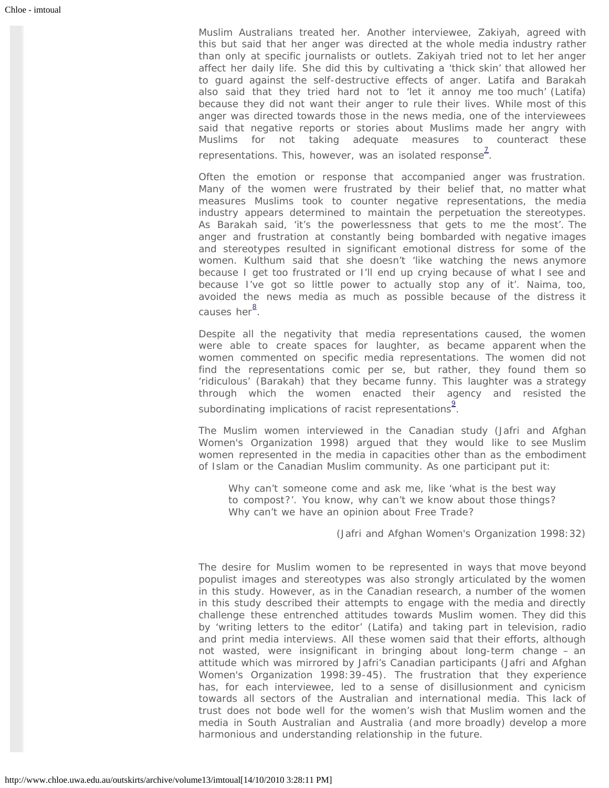Muslim Australians treated her. Another interviewee, Zakiyah, agreed with this but said that her anger was directed at the whole media industry rather than only at specific journalists or outlets. Zakiyah tried not to let her anger affect her daily life. She did this by cultivating a 'thick skin' that allowed her to guard against the self-destructive effects of anger. Latifa and Barakah also said that they tried hard not to 'let it annoy me too much' (Latifa) because they did not want their anger to rule their lives. While most of this anger was directed towards those in the news media, one of the interviewees said that negative reports or stories about Muslims made her angry with Muslims for not taking adequate measures to counteract these representations. This, however, was an isolated response $^{\mathcal{I}}$ .

Often the emotion or response that accompanied anger was frustration. Many of the women were frustrated by their belief that, no matter what measures Muslims took to counter negative representations, the media industry appears determined to maintain the perpetuation the stereotypes. As Barakah said, 'it's the powerlessness that gets to me the most'. The anger and frustration at constantly being bombarded with negative images and stereotypes resulted in significant emotional distress for some of the women. Kulthum said that she doesn't 'like watching the news anymore because I get too frustrated or I'll end up crying because of what I see and because I've got so little power to actually stop any of it'. Naima, too, avoided the news media as much as possible because of the distress it causes her<sup>[8](#page-10-2)</sup>.

Despite all the negativity that media representations caused, the women were able to create spaces for laughter, as became apparent when the women commented on specific media representations. The women did not find the representations comic per se, but rather, they found them so 'ridiculous' (Barakah) that they became funny. This laughter was a strategy through which the women enacted their agency and resisted the subordinating implications of racist representations $\frac{9}{1}$  $\frac{9}{1}$  $\frac{9}{1}$ .

The Muslim women interviewed in the Canadian study (Jafri and Afghan Women's Organization 1998) argued that they would like to see Muslim women represented in the media in capacities other than as the embodiment of Islam or the Canadian Muslim community. As one participant put it:

Why can't someone come and ask me, like 'what is the best way to compost?'. You know, why can't we know about those things? Why can't we have an opinion about Free Trade?

(Jafri and Afghan Women's Organization 1998:32)

The desire for Muslim women to be represented in ways that move beyond populist images and stereotypes was also strongly articulated by the women in this study. However, as in the Canadian research, a number of the women in this study described their attempts to engage with the media and directly challenge these entrenched attitudes towards Muslim women. They did this by 'writing letters to the editor' (Latifa) and taking part in television, radio and print media interviews. All these women said that their efforts, although not wasted, were insignificant in bringing about long-term change – an attitude which was mirrored by Jafri's Canadian participants (Jafri and Afghan Women's Organization 1998:39-45). The frustration that they experience has, for each interviewee, led to a sense of disillusionment and cynicism towards all sectors of the Australian and international media. This lack of trust does not bode well for the women's wish that Muslim women and the media in South Australian and Australia (and more broadly) develop a more harmonious and understanding relationship in the future.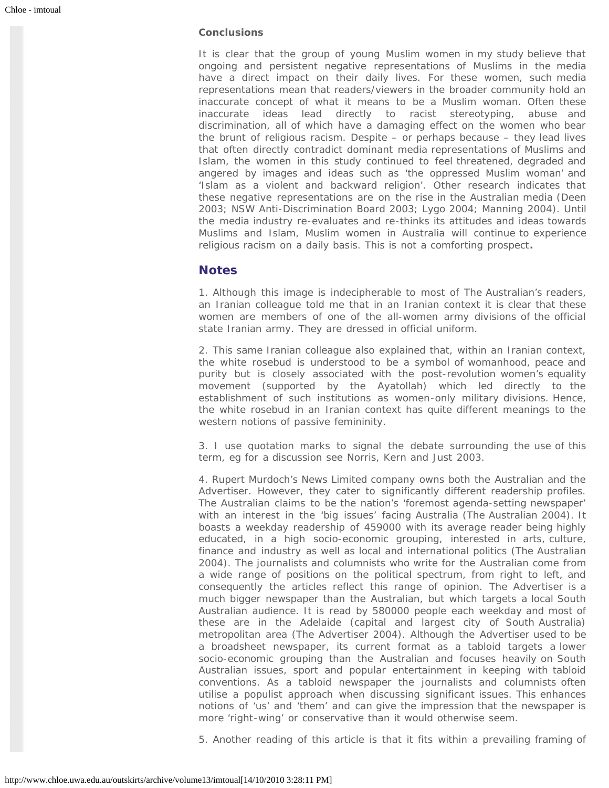#### **Conclusions**

It is clear that the group of young Muslim women in my study believe that ongoing and persistent negative representations of Muslims in the media have a direct impact on their daily lives. For these women, such media representations mean that readers/viewers in the broader community hold an inaccurate concept of what it means to be a Muslim woman. Often these inaccurate ideas lead directly to racist stereotyping, abuse and discrimination, all of which have a damaging effect on the women who bear the brunt of religious racism. Despite – or perhaps because – they lead lives that often directly contradict dominant media representations of Muslims and Islam, the women in this study continued to feel threatened, degraded and angered by images and ideas such as 'the oppressed Muslim woman' and 'Islam as a violent and backward religion'. Other research indicates that these negative representations are on the rise in the Australian media (Deen 2003; NSW Anti-Discrimination Board 2003; Lygo 2004; Manning 2004). Until the media industry re-evaluates and re-thinks its attitudes and ideas towards Muslims and Islam, Muslim women in Australia will continue to experience religious racism on a daily basis. This is not a comforting prospect**.**

## **Notes**

<span id="page-9-0"></span>1. Although this image is indecipherable to most of The Australian's readers, an Iranian colleague told me that in an Iranian context it is clear that these women are members of one of the all-women army divisions of the official state Iranian army. They are dressed in official uniform.

<span id="page-9-1"></span>2. This same Iranian colleague also explained that, within an Iranian context, the white rosebud is understood to be a symbol of womanhood, peace and purity but is closely associated with the post-revolution women's equality movement (supported by the Ayatollah) which led directly to the establishment of such institutions as women-only military divisions. Hence, the white rosebud in an Iranian context has quite different meanings to the western notions of passive femininity.

<span id="page-9-2"></span>3. I use quotation marks to signal the debate surrounding the use of this term, eg for a discussion see Norris, Kern and Just 2003.

<span id="page-9-3"></span>4. Rupert Murdoch's News Limited company owns both the Australian and the Advertiser. However, they cater to significantly different readership profiles. The Australian claims to be the nation's 'foremost agenda-setting newspaper' with an interest in the 'big issues' facing Australia (The Australian 2004). It boasts a weekday readership of 459000 with its average reader being highly educated, in a high socio-economic grouping, interested in arts, culture, finance and industry as well as local and international politics (The Australian 2004). The journalists and columnists who write for the Australian come from a wide range of positions on the political spectrum, from right to left, and consequently the articles reflect this range of opinion. The Advertiser is a much bigger newspaper than the Australian, but which targets a local South Australian audience. It is read by 580000 people each weekday and most of these are in the Adelaide (capital and largest city of South Australia) metropolitan area (The Advertiser 2004). Although the Advertiser used to be a broadsheet newspaper, its current format as a tabloid targets a lower socio-economic grouping than the Australian and focuses heavily on South Australian issues, sport and popular entertainment in keeping with tabloid conventions. As a tabloid newspaper the journalists and columnists often utilise a populist approach when discussing significant issues. This enhances notions of 'us' and 'them' and can give the impression that the newspaper is more 'right-wing' or conservative than it would otherwise seem.

<span id="page-9-4"></span>5. Another reading of this article is that it fits within a prevailing framing of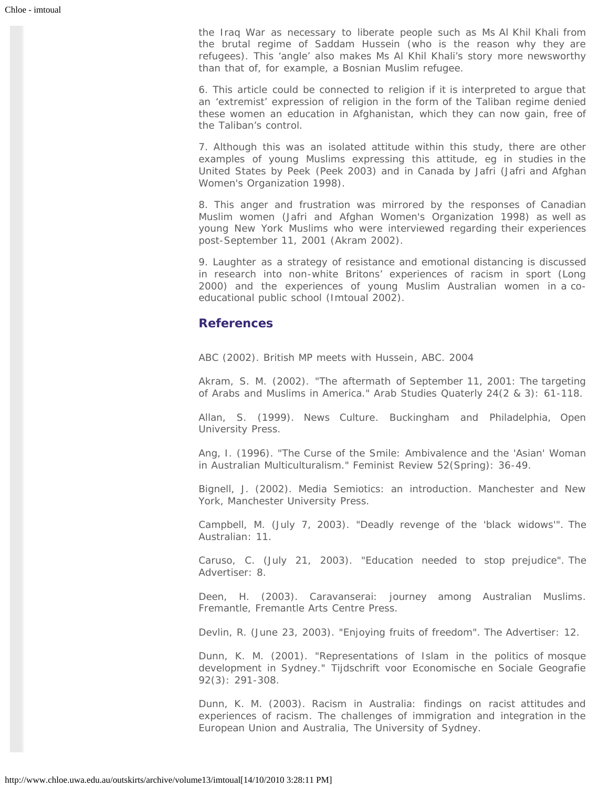the Iraq War as necessary to liberate people such as Ms Al Khil Khali from the brutal regime of Saddam Hussein (who is the reason why they are refugees). This 'angle' also makes Ms Al Khil Khali's story more newsworthy than that of, for example, a Bosnian Muslim refugee.

<span id="page-10-0"></span>6. This article could be connected to religion if it is interpreted to argue that an 'extremist' expression of religion in the form of the Taliban regime denied these women an education in Afghanistan, which they can now gain, free of the Taliban's control.

<span id="page-10-1"></span>7. Although this was an isolated attitude within this study, there are other examples of young Muslims expressing this attitude, eg in studies in the United States by Peek (Peek 2003) and in Canada by Jafri (Jafri and Afghan Women's Organization 1998).

<span id="page-10-2"></span>8. This anger and frustration was mirrored by the responses of Canadian Muslim women (Jafri and Afghan Women's Organization 1998) as well as young New York Muslims who were interviewed regarding their experiences post-September 11, 2001 (Akram 2002).

<span id="page-10-3"></span>9. Laughter as a strategy of resistance and emotional distancing is discussed in research into non-white Britons' experiences of racism in sport (Long 2000) and the experiences of young Muslim Australian women in a coeducational public school (Imtoual 2002).

## **References**

ABC (2002). *British MP meets with Hussein*, ABC. 2004

Akram, S. M. (2002). "The aftermath of September 11, 2001: The targeting of Arabs and Muslims in America." *Arab Studies Quaterly* 24(2 & 3): 61-118.

Allan, S. (1999). *News Culture*. Buckingham and Philadelphia, Open University Press.

Ang, I. (1996). "The Curse of the Smile: Ambivalence and the 'Asian' Woman in Australian Multiculturalism." *Feminist Review* 52(Spring): 36-49.

Bignell, J. (2002). *Media Semiotics: an introduction*. Manchester and New York, Manchester University Press.

Campbell, M. (July 7, 2003). "Deadly revenge of the 'black widows'". *The Australian*: 11.

Caruso, C. (July 21, 2003). "Education needed to stop prejudice". *The Advertiser*: 8.

Deen, H. (2003). *Caravanserai: journey among Australian Muslims*. Fremantle, Fremantle Arts Centre Press.

Devlin, R. (June 23, 2003). "Enjoying fruits of freedom". *The Advertiser*: 12.

Dunn, K. M. (2001). "Representations of Islam in the politics of mosque development in Sydney." *Tijdschrift voor Economische en Sociale Geografie* 92(3): 291-308.

Dunn, K. M. (2003). *Racism in Australia: findings on racist attitudes and experiences of racism*. The challenges of immigration and integration in the European Union and Australia, The University of Sydney.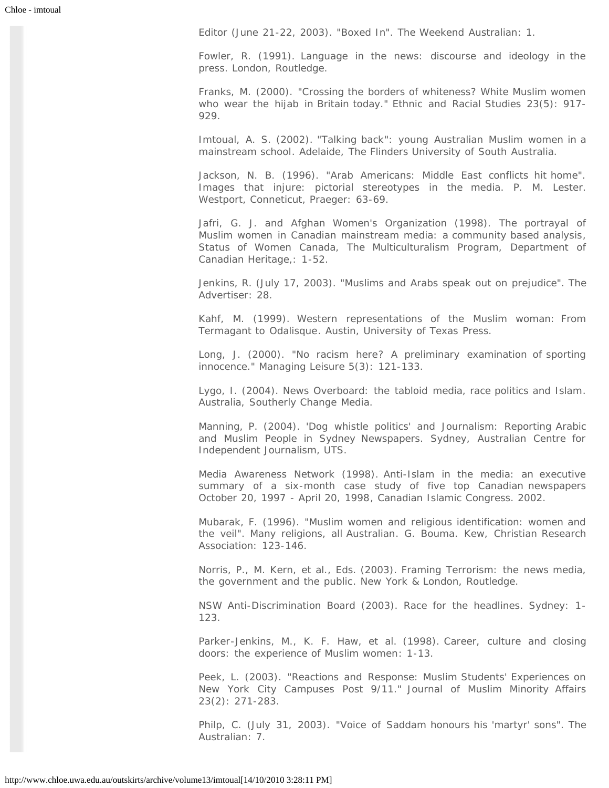Editor (June 21-22, 2003). "Boxed In". *The Weekend Australian*: 1.

Fowler, R. (1991). *Language in the news: discourse and ideology in the press*. London, Routledge.

Franks, M. (2000). "Crossing the borders of whiteness? White Muslim women who wear the hijab in Britain today." *Ethnic and Racial Studies* 23(5): 917- 929.

Imtoual, A. S. (2002). "*Talking back*"*: young Australian Muslim women in a mainstream school*. Adelaide, The Flinders University of South Australia.

Jackson, N. B. (1996). "Arab Americans: Middle East conflicts hit home". *Images that injure: pictorial stereotypes in the media*. P. M. Lester. Westport, Conneticut, Praeger: 63-69.

Jafri, G. J. and Afghan Women's Organization (1998). *The portrayal of Muslim women in Canadian mainstream media: a community based analysis*, Status of Women Canada, The Multiculturalism Program, Department of Canadian Heritage,: 1-52.

Jenkins, R. (July 17, 2003). "Muslims and Arabs speak out on prejudice". *The Advertiser*: 28.

Kahf, M. (1999). *Western representations of the Muslim woman: From Termagant to Odalisque*. Austin, University of Texas Press.

Long, J. (2000). "No racism here? A preliminary examination of sporting innocence." *Managing Leisure* 5(3): 121-133.

Lygo, I. (2004). *News Overboard: the tabloid media, race politics and Islam*. Australia, Southerly Change Media.

Manning, P. (2004). *'Dog whistle politics' and Journalism: Reporting Arabic and Muslim People in Sydney Newspapers*. Sydney, Australian Centre for Independent Journalism, UTS.

Media Awareness Network (1998). *Anti-Islam in the media: an executive summary of a six-month case study of five top Canadian newspapers October 20, 1997 - April 20, 1998*, Canadian Islamic Congress. 2002.

Mubarak, F. (1996). "Muslim women and religious identification: women and the veil". *Many religions, all Australian*. G. Bouma. Kew, Christian Research Association: 123-146.

Norris, P., M. Kern, et al., Eds. (2003). *Framing Terrorism: the news media, the government and the public*. New York & London, Routledge.

NSW Anti-Discrimination Board (2003). *Race for the headlines*. Sydney: 1- 123.

Parker-Jenkins, M., K. F. Haw, et al. (1998). *Career, culture and closing doors: the experience of Muslim women*: 1-13.

Peek, L. (2003). "Reactions and Response: Muslim Students' Experiences on New York City Campuses Post 9/11." *Journal of Muslim Minority Affairs* 23(2): 271-283.

Philp, C. (July 31, 2003). "Voice of Saddam honours his 'martyr' sons". *The Australian*: 7.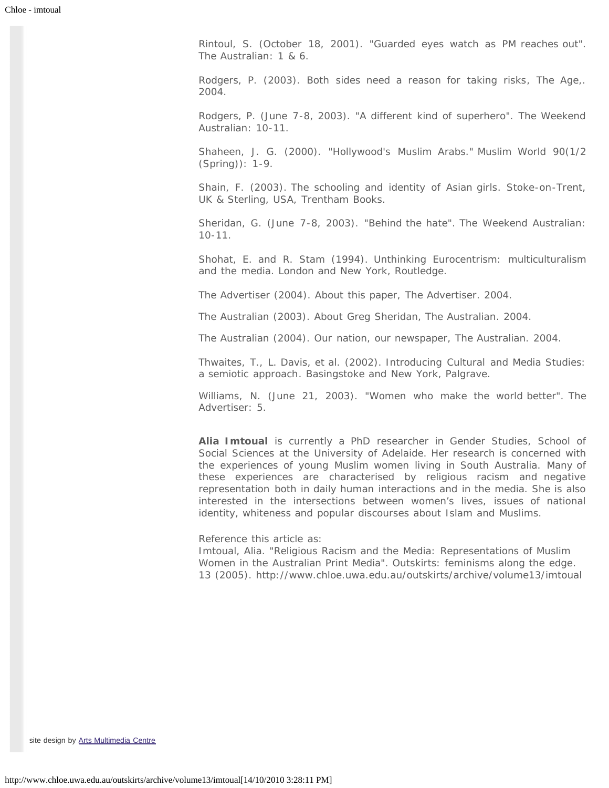Rintoul, S. (October 18, 2001). "Guarded eyes watch as PM reaches out". *The Australian*: 1 & 6.

Rodgers, P. (2003). *Both sides need a reason for taking risks*, The Age,. 2004.

Rodgers, P. (June 7-8, 2003). "A different kind of superhero". *The Weekend Australian*: 10-11.

Shaheen, J. G. (2000). "Hollywood's Muslim Arabs." *Muslim World* 90(1/2 (Spring)): 1-9.

Shain, F. (2003). *The schooling and identity of Asian girls*. Stoke-on-Trent, UK & Sterling, USA, Trentham Books.

Sheridan, G. (June 7-8, 2003). "Behind the hate". *The Weekend Australian*: 10-11.

Shohat, E. and R. Stam (1994). *Unthinking Eurocentrism: multiculturalism and the media*. London and New York, Routledge.

The Advertiser (2004). About this paper, *The Advertiser*. 2004.

The Australian (2003). About Greg Sheridan, *The Australian*. 2004.

The Australian (2004). Our nation, our newspaper, The Australian. 2004.

Thwaites, T., L. Davis, et al. (2002). *Introducing Cultural and Media Studies: a semiotic approach*. Basingstoke and New York, Palgrave.

Williams, N. (June 21, 2003). "Women who make the world better". *The Advertiser*: 5.

**Alia Imtoual** is currently a PhD researcher in Gender Studies, School of Social Sciences at the University of Adelaide. Her research is concerned with the experiences of young Muslim women living in South Australia. Many of these experiences are characterised by religious racism and negative representation both in daily human interactions and in the media. She is also interested in the intersections between women's lives, issues of national identity, whiteness and popular discourses about Islam and Muslims.

Reference this article as:

Imtoual, Alia. "Religious Racism and the Media: Representations of Muslim Women in the Australian Print Media". *Outskirts: feminisms along the edge*. 13 (2005). http://www.chloe.uwa.edu.au/outskirts/archive/volume13/imtoual